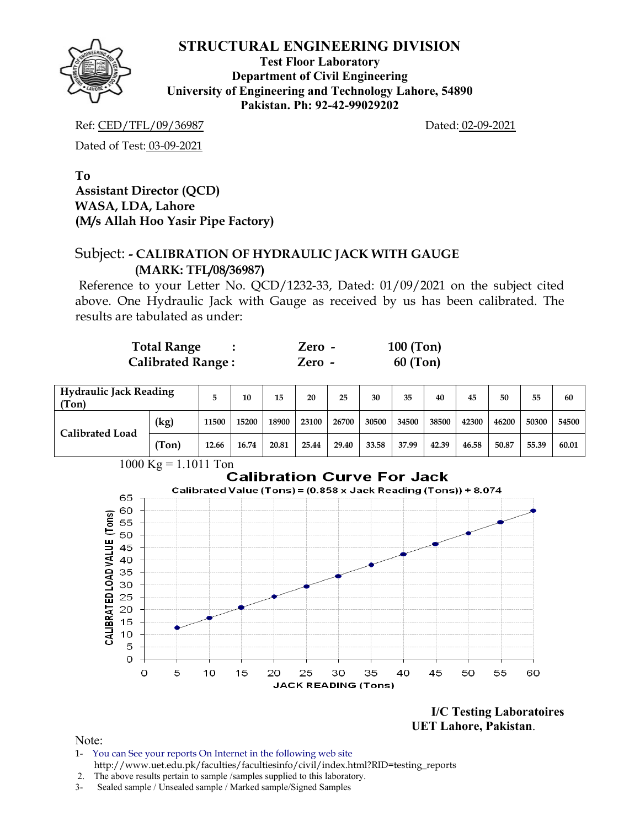**Test Floor Laboratory Department of Civil Engineering University of Engineering and Technology Lahore, 54890 Pakistan. Ph: 92-42-99029202** 

Ref: CED/TFL/09/36987 Dated: 02-09-2021

Dated of Test: 03-09-2021

**To Assistant Director (QCD) WASA, LDA, Lahore (M/s Allah Hoo Yasir Pipe Factory)** 

# Subject: **- CALIBRATION OF HYDRAULIC JACK WITH GAUGE (MARK: TFL/08/36987)**

Reference to your Letter No. QCD/1232-33, Dated: 01/09/2021 on the subject cited above. One Hydraulic Jack with Gauge as received by us has been calibrated. The results are tabulated as under:

| <b>Total Range</b>       | $Zero -$ | $100$ (Ton) |
|--------------------------|----------|-------------|
| <b>Calibrated Range:</b> | Zero -   | 60 (Ton)    |

| <b>Hydraulic Jack Reading</b><br>(Ton) |       | 10    | 15    | 20    | 25    | 30    | 35    | 40    | 45    | 50    | 55    | 60    |       |
|----------------------------------------|-------|-------|-------|-------|-------|-------|-------|-------|-------|-------|-------|-------|-------|
| <b>Calibrated Load</b>                 | (kg)  | 11500 | 15200 | 18900 | 23100 | 26700 | 30500 | 34500 | 38500 | 42300 | 46200 | 50300 | 54500 |
|                                        | (Ton) | 12.66 | 16.74 | 20.81 | 25.44 | 29.40 | 33.58 | 37.99 | 42.39 | 46.58 | 50.87 | 55.39 | 60.01 |



**I/C Testing Laboratoires UET Lahore, Pakistan**.

- 1- You can See your reports On Internet in the following web site http://www.uet.edu.pk/faculties/facultiesinfo/civil/index.html?RID=testing\_reports
- 2. The above results pertain to sample /samples supplied to this laboratory.
- 3- Sealed sample / Unsealed sample / Marked sample/Signed Samples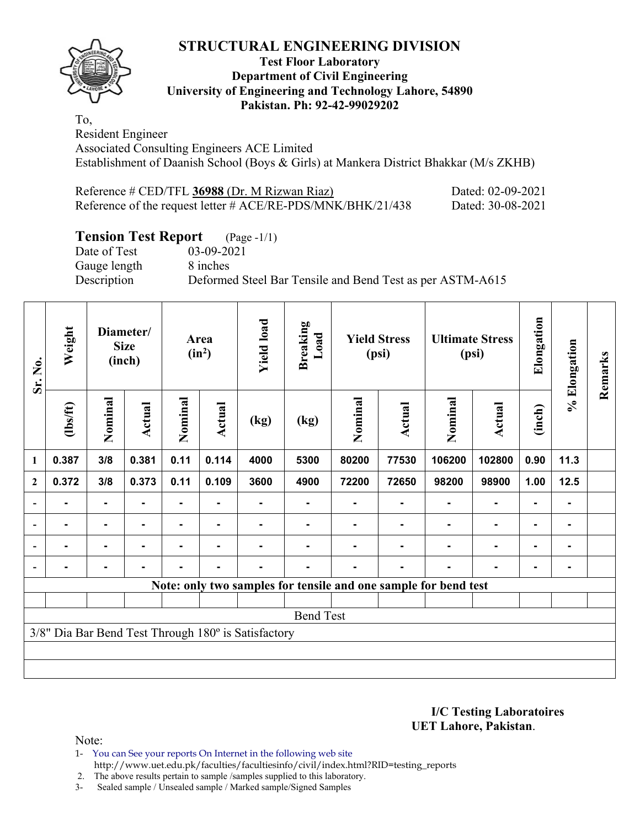#### **Test Floor Laboratory Department of Civil Engineering University of Engineering and Technology Lahore, 54890 Pakistan. Ph: 92-42-99029202**

To, Resident Engineer Associated Consulting Engineers ACE Limited Establishment of Daanish School (Boys & Girls) at Mankera District Bhakkar (M/s ZKHB)

| Reference # CED/TFL 36988 (Dr. M Rizwan Riaz)               | Dated: 02-09-2021 |
|-------------------------------------------------------------|-------------------|
| Reference of the request letter # ACE/RE-PDS/MNK/BHK/21/438 | Dated: 30-08-2021 |

# **Tension Test Report** (Page -1/1)<br>Date of Test (03-09-2021)

Gauge length 8 inches

03-09-2021 Description Deformed Steel Bar Tensile and Bend Test as per ASTM-A615

| Sr. No.                  | Weight                                                        | Diameter/<br><b>Size</b><br>(inch) |               |         | Area<br>$(in^2)$ | <b>Yield load</b> | <b>Breaking</b><br>Load                                         |         | <b>Yield Stress</b><br>(psi) |                | <b>Ultimate Stress</b><br>(psi) | Elongation     | % Elongation | Remarks |
|--------------------------|---------------------------------------------------------------|------------------------------------|---------------|---------|------------------|-------------------|-----------------------------------------------------------------|---------|------------------------------|----------------|---------------------------------|----------------|--------------|---------|
| $\mathbf{1}$             | (1bs/ft)                                                      | Nominal                            | <b>Actual</b> | Nominal | <b>Actual</b>    | (kg)              | (kg)                                                            | Nominal | Actual                       | Nominal        | <b>Actual</b>                   | (inch)         |              |         |
|                          | 0.387                                                         | 3/8                                | 0.381         | 0.11    | 0.114            | 4000              | 5300                                                            | 80200   | 77530                        | 106200         | 102800                          | 0.90           | 11.3         |         |
| $\boldsymbol{2}$         | 0.372                                                         | 3/8                                | 0.373         | 0.11    | 0.109            | 3600              | 4900                                                            | 72200   | 72650                        | 98200          | 98900                           | 1.00           | $12.5$       |         |
| $\blacksquare$           |                                                               | $\blacksquare$                     |               |         |                  |                   |                                                                 |         |                              |                |                                 |                |              |         |
| $\blacksquare$           | $\blacksquare$                                                | ۰.                                 |               |         | $\blacksquare$   |                   |                                                                 |         |                              | $\blacksquare$ | $\blacksquare$                  | $\blacksquare$ |              |         |
|                          | $\blacksquare$                                                | ۰                                  |               | Ξ.      | $\blacksquare$   |                   |                                                                 |         |                              |                | ۰                               | $\blacksquare$ |              |         |
| $\overline{\phantom{0}}$ |                                                               |                                    |               |         |                  |                   |                                                                 |         |                              |                |                                 |                |              |         |
|                          |                                                               |                                    |               |         |                  |                   | Note: only two samples for tensile and one sample for bend test |         |                              |                |                                 |                |              |         |
|                          |                                                               |                                    |               |         |                  |                   |                                                                 |         |                              |                |                                 |                |              |         |
|                          |                                                               |                                    |               |         |                  |                   | <b>Bend Test</b>                                                |         |                              |                |                                 |                |              |         |
|                          | $3/8$ " Dia Bar Bend Test Through $180^\circ$ is Satisfactory |                                    |               |         |                  |                   |                                                                 |         |                              |                |                                 |                |              |         |
|                          |                                                               |                                    |               |         |                  |                   |                                                                 |         |                              |                |                                 |                |              |         |
|                          |                                                               |                                    |               |         |                  |                   |                                                                 |         |                              |                |                                 |                |              |         |

#### **I/C Testing Laboratoires UET Lahore, Pakistan**.

Note:

1- You can See your reports On Internet in the following web site http://www.uet.edu.pk/faculties/facultiesinfo/civil/index.html?RID=testing\_reports

2. The above results pertain to sample /samples supplied to this laboratory.

3- Sealed sample / Unsealed sample / Marked sample/Signed Samples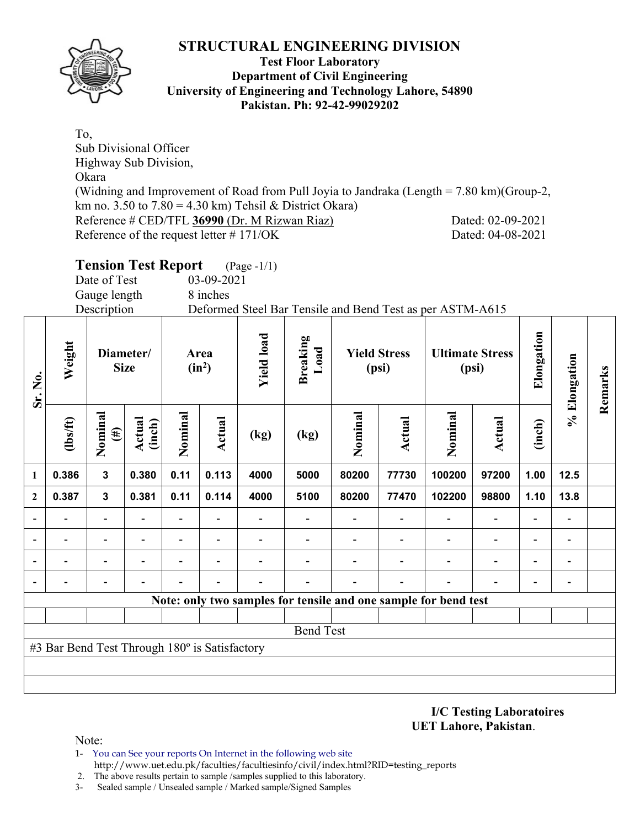

#### **Test Floor Laboratory Department of Civil Engineering University of Engineering and Technology Lahore, 54890 Pakistan. Ph: 92-42-99029202**

To, Sub Divisional Officer Highway Sub Division, Okara (Widning and Improvement of Road from Pull Joyia to Jandraka (Length = 7.80 km)(Group-2, km no. 3.50 to  $7.80 = 4.30$  km) Tehsil & District Okara) Reference # CED/TFL **36990** (Dr. M Rizwan Riaz) Dated: 02-09-2021 Reference of the request letter # 171/OK Dated: 04-08-2021

# **Tension Test Report** (Page -1/1)

Date of Test 03-09-2021

Gauge length 8 inches

Description Deformed Steel Bar Tensile and Bend Test as per ASTM-A615

| Sr. No.        | Weight                                        |                   | Diameter/<br><b>Size</b> | Area<br>$(in^2)$         |                          | <b>Yield load</b><br><b>Breaking</b> |                  | Load    | <b>Yield Stress</b><br>(psi) |                                                                 |                              | <b>Ultimate Stress</b><br>(psi) | Elongation                   | % Elongation | Remarks |
|----------------|-----------------------------------------------|-------------------|--------------------------|--------------------------|--------------------------|--------------------------------------|------------------|---------|------------------------------|-----------------------------------------------------------------|------------------------------|---------------------------------|------------------------------|--------------|---------|
|                | (1bs/ft)                                      | Nominal<br>$(\#)$ | Actual<br>(inch)         | Nominal                  | Actual                   | (kg)                                 | (kg)             | Nominal | Actual                       | Nominal                                                         | Actual                       | (inch)                          |                              |              |         |
| 1              | 0.386                                         | 3                 | 0.380                    | 0.11                     | 0.113                    | 4000                                 | 5000             | 80200   | 77730                        | 100200                                                          | 97200                        | 1.00                            | $12.5$                       |              |         |
| $\overline{2}$ | 0.387                                         | $\mathbf{3}$      | 0.381                    | 0.11                     | 0.114                    | 4000                                 | 5100             | 80200   | 77470                        | 102200                                                          | 98800                        | 1.10                            | 13.8                         |              |         |
| ۰              |                                               |                   |                          | $\overline{\phantom{a}}$ |                          |                                      |                  |         | $\overline{\phantom{a}}$     |                                                                 |                              | -                               |                              |              |         |
|                |                                               |                   | $\overline{\phantom{0}}$ | $\overline{\phantom{a}}$ | $\overline{\phantom{a}}$ |                                      |                  |         | $\overline{\phantom{a}}$     | $\overline{\phantom{0}}$                                        | $\overline{a}$               | $\overline{\phantom{a}}$        | $\qquad \qquad \blacksquare$ |              |         |
|                |                                               |                   |                          | -                        |                          |                                      |                  |         |                              |                                                                 | $\qquad \qquad \blacksquare$ | $\overline{\phantom{0}}$        | -                            |              |         |
| ۰              |                                               |                   |                          |                          |                          |                                      |                  |         |                              |                                                                 |                              | $\overline{\phantom{0}}$        |                              |              |         |
|                |                                               |                   |                          |                          |                          |                                      |                  |         |                              | Note: only two samples for tensile and one sample for bend test |                              |                                 |                              |              |         |
|                |                                               |                   |                          |                          |                          |                                      |                  |         |                              |                                                                 |                              |                                 |                              |              |         |
|                |                                               |                   |                          |                          |                          |                                      | <b>Bend Test</b> |         |                              |                                                                 |                              |                                 |                              |              |         |
|                | #3 Bar Bend Test Through 180° is Satisfactory |                   |                          |                          |                          |                                      |                  |         |                              |                                                                 |                              |                                 |                              |              |         |
|                |                                               |                   |                          |                          |                          |                                      |                  |         |                              |                                                                 |                              |                                 |                              |              |         |
|                |                                               |                   |                          |                          |                          |                                      |                  |         |                              |                                                                 |                              |                                 |                              |              |         |

#### **I/C Testing Laboratoires UET Lahore, Pakistan**.

- 1- You can See your reports On Internet in the following web site http://www.uet.edu.pk/faculties/facultiesinfo/civil/index.html?RID=testing\_reports
- 2. The above results pertain to sample /samples supplied to this laboratory.
- 3- Sealed sample / Unsealed sample / Marked sample/Signed Samples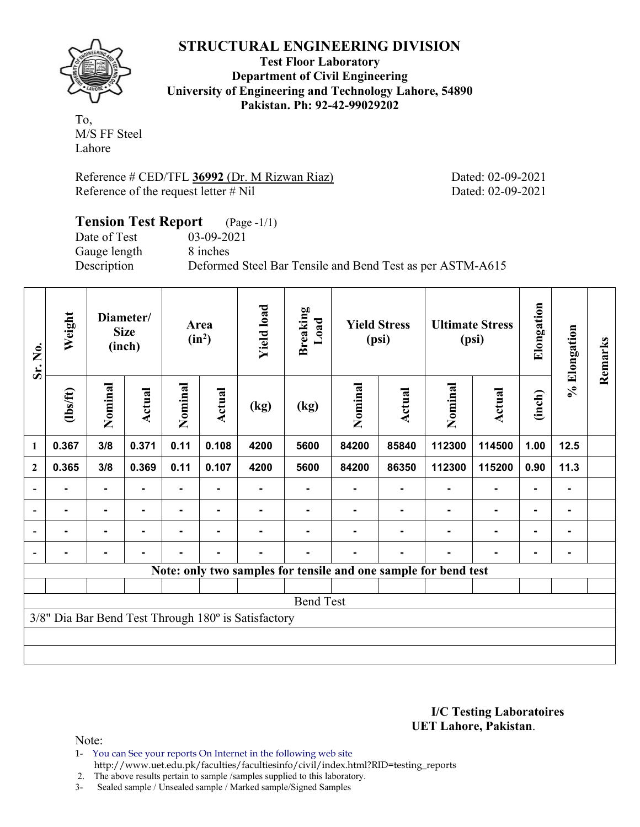

**Test Floor Laboratory Department of Civil Engineering University of Engineering and Technology Lahore, 54890 Pakistan. Ph: 92-42-99029202** 

To, M/S FF Steel Lahore

Reference # CED/TFL **36992** (Dr. M Rizwan Riaz) Dated: 02-09-2021 Reference of the request letter # Nil Dated: 02-09-2021

#### **Tension Test Report** (Page -1/1) Date of Test 03-09-2021<br>Gauge length 8 inches Gauge length Description Deformed Steel Bar Tensile and Bend Test as per ASTM-A615

| Sr. No.      | Weight                                              |                | Diameter/<br><b>Size</b><br>(inch) |                | Area<br>$(in^2)$ | <b>Yield load</b> | <b>Breaking</b><br>Load                                         |         | <b>Yield Stress</b><br>(psi) |         | <b>Ultimate Stress</b><br>(psi) | Elongation     | % Elongation   | Remarks |
|--------------|-----------------------------------------------------|----------------|------------------------------------|----------------|------------------|-------------------|-----------------------------------------------------------------|---------|------------------------------|---------|---------------------------------|----------------|----------------|---------|
|              | (lbs/ft)                                            | Nominal        | <b>Actual</b>                      | Nominal        | Actual           | (kg)              | (kg)                                                            | Nominal | Actual                       | Nominal | Actual                          | (inch)         |                |         |
| 1            | 0.367                                               | 3/8            | 0.371                              | 0.11           | 0.108            | 4200              | 5600                                                            | 84200   | 85840                        | 112300  | 114500                          | 1.00           | 12.5           |         |
| $\mathbf{2}$ | 0.365                                               | 3/8            | 0.369                              | 0.11           | 0.107            | 4200              | 5600                                                            | 84200   | 86350                        | 112300  | 115200                          | 0.90           | 11.3           |         |
|              | $\blacksquare$                                      | $\blacksquare$ | ۰                                  | $\blacksquare$ |                  | $\blacksquare$    | $\blacksquare$                                                  | ۰       | ۰                            |         | ۰                               | ۰              | $\blacksquare$ |         |
|              | ۰                                                   | $\blacksquare$ | ۰                                  | $\blacksquare$ |                  | ۰                 |                                                                 | ٠.      | ٠.                           |         | ۰.                              | $\blacksquare$ | ۰              |         |
|              |                                                     | $\blacksquare$ |                                    |                |                  |                   |                                                                 |         |                              |         |                                 |                | $\blacksquare$ |         |
|              |                                                     |                |                                    |                |                  |                   |                                                                 |         |                              |         |                                 |                | $\blacksquare$ |         |
|              |                                                     |                |                                    |                |                  |                   | Note: only two samples for tensile and one sample for bend test |         |                              |         |                                 |                |                |         |
|              |                                                     |                |                                    |                |                  |                   |                                                                 |         |                              |         |                                 |                |                |         |
|              |                                                     |                |                                    |                |                  |                   | <b>Bend Test</b>                                                |         |                              |         |                                 |                |                |         |
|              | 3/8" Dia Bar Bend Test Through 180° is Satisfactory |                |                                    |                |                  |                   |                                                                 |         |                              |         |                                 |                |                |         |
|              |                                                     |                |                                    |                |                  |                   |                                                                 |         |                              |         |                                 |                |                |         |
|              |                                                     |                |                                    |                |                  |                   |                                                                 |         |                              |         |                                 |                |                |         |

**I/C Testing Laboratoires UET Lahore, Pakistan**.

Note:

1- You can See your reports On Internet in the following web site http://www.uet.edu.pk/faculties/facultiesinfo/civil/index.html?RID=testing\_reports

2. The above results pertain to sample /samples supplied to this laboratory.

3- Sealed sample / Unsealed sample / Marked sample/Signed Samples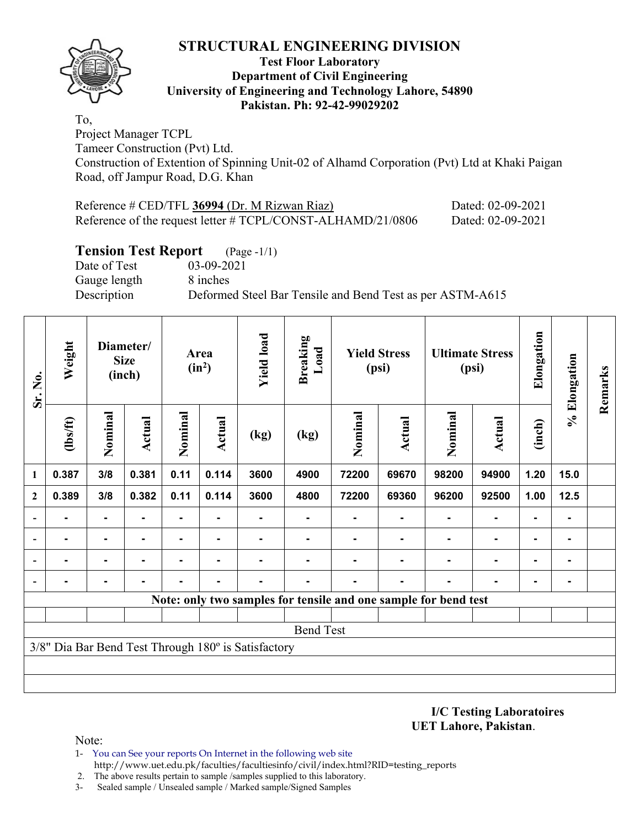

#### **Test Floor Laboratory Department of Civil Engineering University of Engineering and Technology Lahore, 54890 Pakistan. Ph: 92-42-99029202**

To,

Project Manager TCPL Tameer Construction (Pvt) Ltd. Construction of Extention of Spinning Unit-02 of Alhamd Corporation (Pvt) Ltd at Khaki Paigan Road, off Jampur Road, D.G. Khan

| Reference # CED/TFL 36994 (Dr. M Rizwan Riaz)               | Dated: 02-09-2021 |
|-------------------------------------------------------------|-------------------|
| Reference of the request letter # TCPL/CONST-ALHAMD/21/0806 | Dated: 02-09-2021 |

# **Tension Test Report** (Page -1/1)

Date of Test 03-09-2021 Gauge length 8 inches

Description Deformed Steel Bar Tensile and Bend Test as per ASTM-A615

| Sr. No.                  | Weight   |                | Diameter/<br><b>Size</b><br>(inch) |         | Area<br>$(in^2)$         | <b>Yield load</b>                                   | <b>Breaking</b><br>Load                                         |         | <b>Yield Stress</b><br>(psi) |                | <b>Ultimate Stress</b><br>(psi) | Elongation     | % Elongation   | Remarks |
|--------------------------|----------|----------------|------------------------------------|---------|--------------------------|-----------------------------------------------------|-----------------------------------------------------------------|---------|------------------------------|----------------|---------------------------------|----------------|----------------|---------|
| 1                        | (lbs/ft) | Nominal        | Actual                             | Nominal | Actual                   | (kg)                                                | (kg)                                                            | Nominal | Actual                       | Nominal        | Actual                          | (inch)         |                |         |
|                          | 0.387    | 3/8            | 0.381                              | 0.11    | 0.114                    | 3600                                                | 4900                                                            | 72200   | 69670                        | 98200          | 94900                           | 1.20           | 15.0           |         |
| $\mathbf{2}$             | 0.389    | 3/8            | 0.382                              | 0.11    | 0.114                    | 3600                                                | 4800                                                            | 72200   | 69360                        | 96200          | 92500                           | 1.00           | 12.5           |         |
|                          |          | $\blacksquare$ |                                    | Ξ.      |                          |                                                     |                                                                 |         |                              |                |                                 |                | ٠              |         |
| $\overline{a}$           |          | ۰              |                                    |         | $\overline{\phantom{0}}$ |                                                     |                                                                 |         |                              |                |                                 | ۰              | $\blacksquare$ |         |
| $\overline{\phantom{0}}$ |          | ۰              | ۰                                  |         | ۰                        |                                                     |                                                                 |         |                              |                | $\blacksquare$                  | $\blacksquare$ | $\blacksquare$ |         |
| $\blacksquare$           | -        | ۰              |                                    |         | -                        |                                                     |                                                                 |         |                              | $\blacksquare$ |                                 |                | ۰              |         |
|                          |          |                |                                    |         |                          |                                                     | Note: only two samples for tensile and one sample for bend test |         |                              |                |                                 |                |                |         |
|                          |          |                |                                    |         |                          |                                                     |                                                                 |         |                              |                |                                 |                |                |         |
|                          |          |                |                                    |         |                          |                                                     | <b>Bend Test</b>                                                |         |                              |                |                                 |                |                |         |
|                          |          |                |                                    |         |                          | 3/8" Dia Bar Bend Test Through 180° is Satisfactory |                                                                 |         |                              |                |                                 |                |                |         |
|                          |          |                |                                    |         |                          |                                                     |                                                                 |         |                              |                |                                 |                |                |         |
|                          |          |                |                                    |         |                          |                                                     |                                                                 |         |                              |                |                                 |                |                |         |

**I/C Testing Laboratoires UET Lahore, Pakistan**.

- 1- You can See your reports On Internet in the following web site http://www.uet.edu.pk/faculties/facultiesinfo/civil/index.html?RID=testing\_reports
- 2. The above results pertain to sample /samples supplied to this laboratory.
- 3- Sealed sample / Unsealed sample / Marked sample/Signed Samples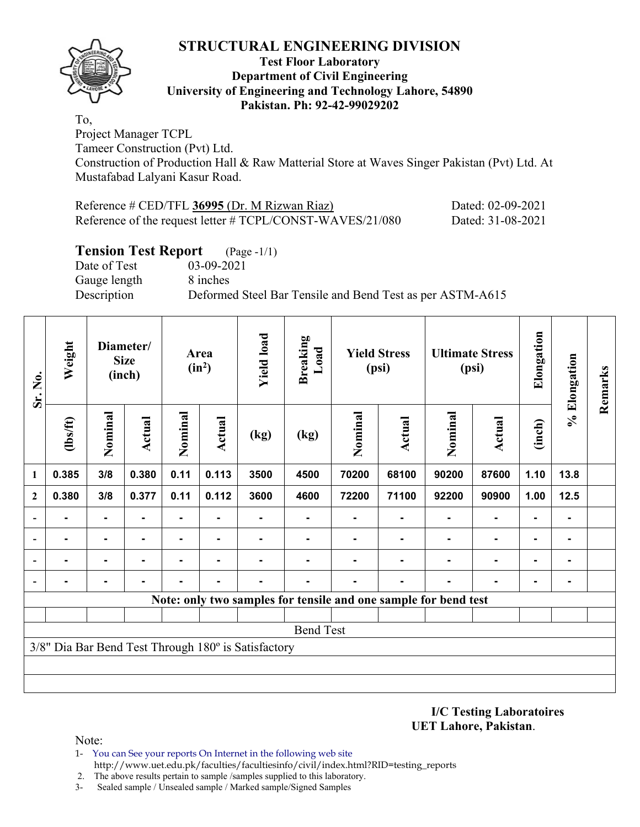

#### **Test Floor Laboratory Department of Civil Engineering University of Engineering and Technology Lahore, 54890 Pakistan. Ph: 92-42-99029202**

To, Project Manager TCPL

Tameer Construction (Pvt) Ltd.

Construction of Production Hall & Raw Matterial Store at Waves Singer Pakistan (Pvt) Ltd. At Mustafabad Lalyani Kasur Road.

| Reference # CED/TFL 36995 (Dr. M Rizwan Riaz)             | Dated: 02-09-2021 |
|-----------------------------------------------------------|-------------------|
| Reference of the request letter # TCPL/CONST-WAVES/21/080 | Dated: 31-08-2021 |

# **Tension Test Report** (Page -1/1)

Date of Test 03-09-2021 Gauge length 8 inches

Description Deformed Steel Bar Tensile and Bend Test as per ASTM-A615

| Sr. No.                  | Weight                                              | Diameter/<br><b>Size</b><br>(inch) |        |         | Area<br>$(in^2)$ | <b>Yield load</b> | <b>Breaking</b><br>Load                                         |         | <b>Yield Stress</b><br>(psi) |                | <b>Ultimate Stress</b><br>(psi) | Elongation     | % Elongation | Remarks |
|--------------------------|-----------------------------------------------------|------------------------------------|--------|---------|------------------|-------------------|-----------------------------------------------------------------|---------|------------------------------|----------------|---------------------------------|----------------|--------------|---------|
| 1                        | (1bs/ft)                                            | Nominal                            | Actual | Nominal | Actual           | (kg)              | (kg)                                                            | Nominal | Actual                       | Nominal        | Actual                          | (inch)         |              |         |
|                          | 0.385                                               | 3/8                                | 0.380  | 0.11    | 0.113            | 3500              | 4500                                                            | 70200   | 68100                        | 90200          | 87600                           | 1.10           | 13.8         |         |
| $\overline{2}$           | 0.380                                               | 3/8                                | 0.377  | 0.11    | 0.112            | 3600              | 4600                                                            | 72200   | 71100                        | 92200          | 90900                           | 1.00           | 12.5         |         |
| $\overline{\phantom{a}}$ |                                                     | ۰.                                 |        |         |                  |                   |                                                                 |         |                              |                | $\blacksquare$                  | $\blacksquare$ |              |         |
| $\overline{\phantom{a}}$ | -                                                   | ۰                                  |        |         |                  |                   |                                                                 |         |                              |                | $\blacksquare$                  | $\blacksquare$ |              |         |
| $\overline{\phantom{a}}$ | $\blacksquare$                                      | ۰.                                 |        |         | $\blacksquare$   |                   |                                                                 |         |                              | $\blacksquare$ | $\blacksquare$                  | $\blacksquare$ |              |         |
| $\overline{\phantom{a}}$ | -                                                   | $\blacksquare$                     |        |         |                  |                   |                                                                 |         | $\blacksquare$               |                | $\blacksquare$                  | $\blacksquare$ |              |         |
|                          |                                                     |                                    |        |         |                  |                   | Note: only two samples for tensile and one sample for bend test |         |                              |                |                                 |                |              |         |
|                          |                                                     |                                    |        |         |                  |                   |                                                                 |         |                              |                |                                 |                |              |         |
|                          |                                                     |                                    |        |         |                  |                   | <b>Bend Test</b>                                                |         |                              |                |                                 |                |              |         |
|                          | 3/8" Dia Bar Bend Test Through 180° is Satisfactory |                                    |        |         |                  |                   |                                                                 |         |                              |                |                                 |                |              |         |
|                          |                                                     |                                    |        |         |                  |                   |                                                                 |         |                              |                |                                 |                |              |         |
|                          |                                                     |                                    |        |         |                  |                   |                                                                 |         |                              |                |                                 |                |              |         |

**I/C Testing Laboratoires UET Lahore, Pakistan**.

- 1- You can See your reports On Internet in the following web site http://www.uet.edu.pk/faculties/facultiesinfo/civil/index.html?RID=testing\_reports
- 2. The above results pertain to sample /samples supplied to this laboratory.
- 3- Sealed sample / Unsealed sample / Marked sample/Signed Samples